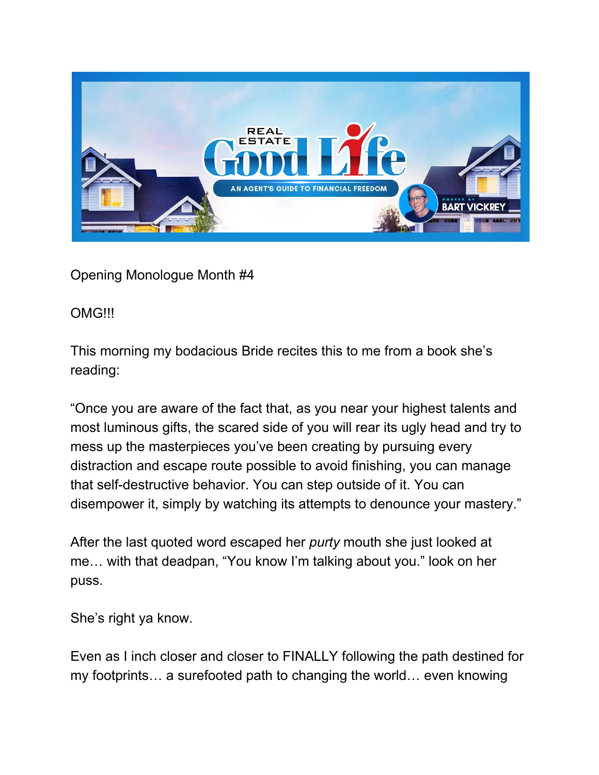

Opening Monologue Month #4

## OMG!!!

This morning my bodacious Bride recites this to me from a book she's reading:

"Once you are aware of the fact that, as you near your highest talents and most luminous gifts, the scared side of you will rear its ugly head and try to mess up the masterpieces you've been creating by pursuing every distraction and escape route possible to avoid finishing, you can manage that self-destructive behavior. You can step outside of it. You can disempower it, simply by watching its attempts to denounce your mastery."

After the last quoted word escaped her *purty* mouth she just looked at me… with that deadpan, "You know I'm talking about you." look on her puss.

She's right ya know.

Even as I inch closer and closer to FINALLY following the path destined for my footprints… a surefooted path to changing the world… even knowing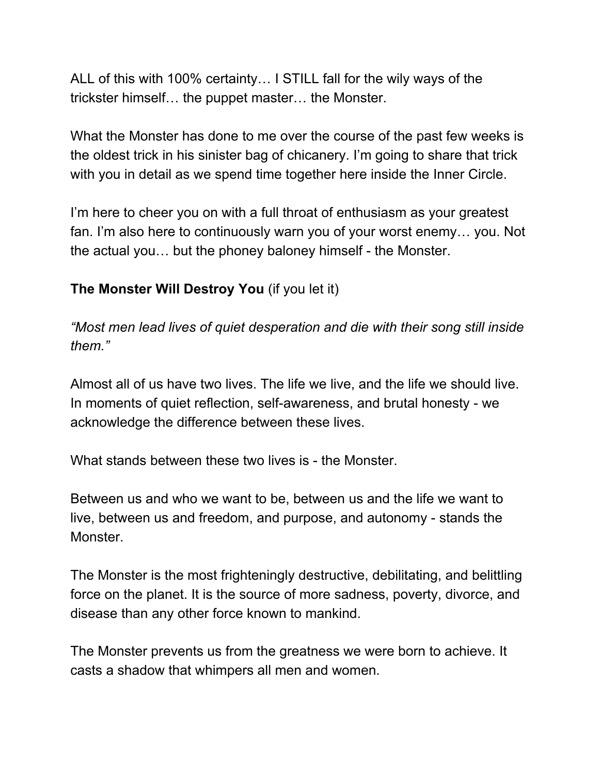ALL of this with 100% certainty… I STILL fall for the wily ways of the trickster himself… the puppet master… the Monster.

What the Monster has done to me over the course of the past few weeks is the oldest trick in his sinister bag of chicanery. I'm going to share that trick with you in detail as we spend time together here inside the Inner Circle.

I'm here to cheer you on with a full throat of enthusiasm as your greatest fan. I'm also here to continuously warn you of your worst enemy… you. Not the actual you… but the phoney baloney himself - the Monster.

## **The Monster Will Destroy You** (if you let it)

*"Most men lead lives of quiet desperation and die with their song still inside them."*

Almost all of us have two lives. The life we live, and the life we should live. In moments of quiet reflection, self-awareness, and brutal honesty - we acknowledge the difference between these lives.

What stands between these two lives is - the Monster.

Between us and who we want to be, between us and the life we want to live, between us and freedom, and purpose, and autonomy - stands the Monster.

The Monster is the most frighteningly destructive, debilitating, and belittling force on the planet. It is the source of more sadness, poverty, divorce, and disease than any other force known to mankind.

The Monster prevents us from the greatness we were born to achieve. It casts a shadow that whimpers all men and women.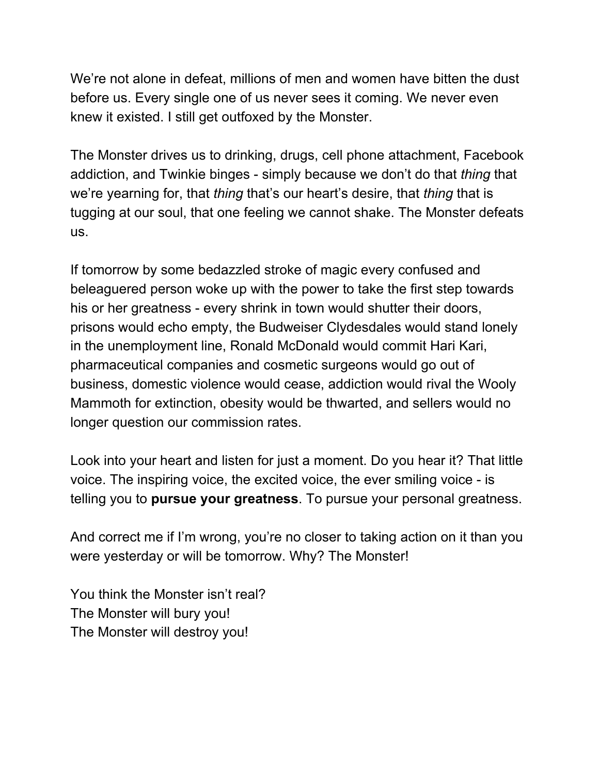We're not alone in defeat, millions of men and women have bitten the dust before us. Every single one of us never sees it coming. We never even knew it existed. I still get outfoxed by the Monster.

The Monster drives us to drinking, drugs, cell phone attachment, Facebook addiction, and Twinkie binges - simply because we don't do that *thing* that we're yearning for, that *thing* that's our heart's desire, that *thing* that is tugging at our soul, that one feeling we cannot shake. The Monster defeats us.

If tomorrow by some bedazzled stroke of magic every confused and beleaguered person woke up with the power to take the first step towards his or her greatness - every shrink in town would shutter their doors, prisons would echo empty, the Budweiser Clydesdales would stand lonely in the unemployment line, Ronald McDonald would commit Hari Kari, pharmaceutical companies and cosmetic surgeons would go out of business, domestic violence would cease, addiction would rival the Wooly Mammoth for extinction, obesity would be thwarted, and sellers would no longer question our commission rates.

Look into your heart and listen for just a moment. Do you hear it? That little voice. The inspiring voice, the excited voice, the ever smiling voice - is telling you to **pursue your greatness**. To pursue your personal greatness.

And correct me if I'm wrong, you're no closer to taking action on it than you were yesterday or will be tomorrow. Why? The Monster!

You think the Monster isn't real? The Monster will bury you! The Monster will destroy you!